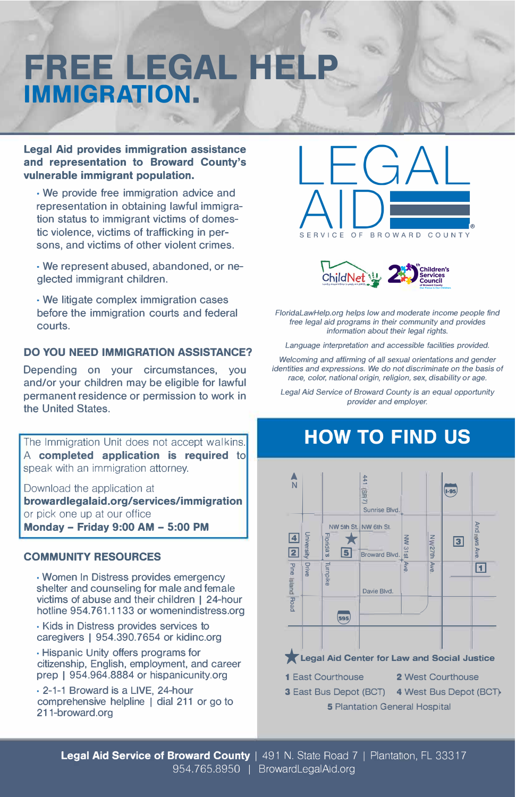# **FREE LEGAL H IMMIGRATION.**

ъ.

**Legal Aid provides immigration assistance and representation to Broward County's vulnerable immigrant population.** 

• We provide free immigration advice and representation in obtaining lawful immigration status to immigrant victims of domestic violence, victims of trafficking in persons, and victims of other violent crimes.

• We represent abused, abandoned, or neglected immigrant children.

• We litigate complex immigration cases before the immigration courts and federal courts.

## **DO YOU NEED IMMIGRATION ASSISTANCE?**

Depending on your circumstances, you and/or your children may be eligible for lawful permanent residence or permission to work in the United States.

The Immigration Unit does not accept walkins. A **completed application is required** to speak with an immigration attorney.

Download the application at **browardlegalaid.org/services/immigration**  or pick one up at our office **Monday - Friday 9:00 AM - 5:00 PM** 

#### **COMMUNITY RESOURCES**

• Women In Distress provides emergency shelter and counseling for male and female victims of abuse and their children I 24-hour hotline 954. 761.1133 or womenindistress.org

• Kids in Distress provides services to caregivers I 954.390.7654 or kidinc.org

• Hispanic Unity offers programs for citizenship, English, employment, and career prep | 954.964.8884 or hispanicunity.org

• 2-1-1 Broward is a LIVE, 24-hour comprehensive helpline I dial 211 or go to 211-broward.org





*FloridaLawHelp.org helps low and moderate income people find free legal aid programs in their community and provides information about their legal rights.* 

*Language interpretation and accessible facilities provided.* 

*Welcoming and affirming of all* sexual *orientations and gender identities and* expressions. *We do not discriminate on the basis of race, color, national origin, religion, sex, disability or age.* 

*Legal Aid Service of Broward County is an equal opportunity provider and employer.* 

# **HOW TO FIND US**